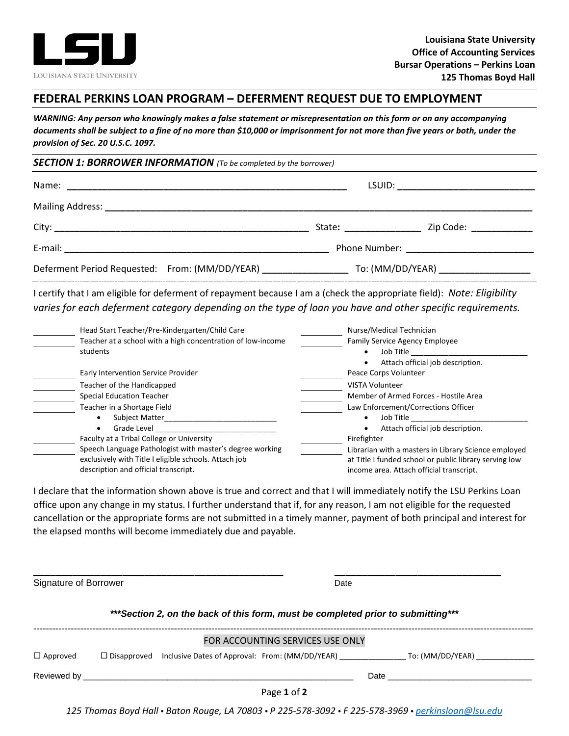

## **FEDERAL PERKINS LOAN PROGRAM – DEFERMENT REQUEST DUE TO EMPLOYMENT**

*WARNING: Any person who knowingly makes a false statement or misrepresentation on this form or on any accompanying documents shall be subject to a fine of no more than \$10,000 or imprisonment for not more than five years or both, under the provision of Sec. 20 U.S.C. 1097.*

## *SECTION 1: BORROWER INFORMATION (To be completed by the borrower)*

|  |                         | LSUID: ___________________________ |
|--|-------------------------|------------------------------------|
|  |                         |                                    |
|  | State: ________________ | Zip Code: ____________             |
|  |                         |                                    |
|  |                         |                                    |

I certify that I am eligible for deferment of repayment because I am a (check the appropriate field): *Note: Eligibility varies for each deferment category depending on the type of loan you have and other specific requirements.* 

| Head Start Teacher/Pre-Kindergarten/Child Care              | Nurse/Medical Technician                               |
|-------------------------------------------------------------|--------------------------------------------------------|
| Teacher at a school with a high concentration of low-income | <b>Family Service Agency Employee</b>                  |
| students                                                    | Job Title                                              |
|                                                             | Attach official job description.                       |
| Early Intervention Service Provider                         | Peace Corps Volunteer                                  |
| Teacher of the Handicapped                                  | VISTA Volunteer                                        |
| <b>Special Education Teacher</b>                            | Member of Armed Forces - Hostile Area                  |
| Teacher in a Shortage Field                                 | Law Enforcement/Corrections Officer                    |
| <b>Subject Matter</b>                                       | Job Title                                              |
| Grade Level                                                 | Attach official job description.                       |
| Faculty at a Tribal College or University                   | Firefighter                                            |
| Speech Language Pathologist with master's degree working    | Librarian with a masters in Library Science employed   |
| exclusively with Title I eligible schools. Attach job       | at Title I funded school or public library serving low |
| description and official transcript.                        | income area. Attach official transcript.               |

I declare that the information shown above is true and correct and that I will immediately notify the LSU Perkins Loan office upon any change in my status. I further understand that if, for any reason, I am not eligible for the requested cancellation or the appropriate forms are not submitted in a timely manner, payment of both principal and interest for the elapsed months will become immediately due and payable.

**\_\_\_\_\_\_\_\_\_\_\_\_\_\_\_\_\_\_\_\_\_\_\_\_\_\_\_\_\_\_\_\_\_\_\_\_\_\_\_\_\_\_\_\_\_ \_\_\_\_\_\_\_\_\_\_\_\_\_\_\_\_\_\_\_\_\_\_\_\_\_\_\_\_\_\_** Signature of Borrower **Date** Date **Date** 

*\*\*\*Section 2, on the back of this form, must be completed prior to submitting\*\*\**

|                 |                    |                                                 | FOR ACCOUNTING SERVICES USE ONLY |      |                  |  |
|-----------------|--------------------|-------------------------------------------------|----------------------------------|------|------------------|--|
| $\Box$ Approved | $\Box$ Disapproved | Inclusive Dates of Approval: From: (MM/DD/YEAR) |                                  |      | To: (MM/DD/YEAR) |  |
| Reviewed by     |                    |                                                 |                                  | Date |                  |  |
|                 |                    |                                                 | Page 1 of 2                      |      |                  |  |

*125 Thomas Boyd Hall • Baton Rouge, LA 70803 • P 225-578-3092 • F 225-578-3969 • [perkinsloan@lsu.edu](mailto:perkinsloan@lsu.edu)*